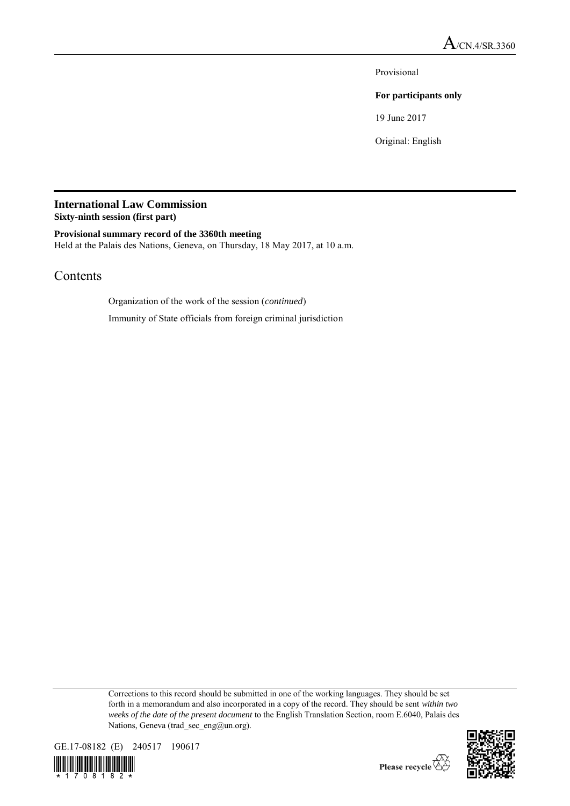Provisional

### **For participants only**

19 June 2017

Original: English

# **International Law Commission**

**Sixty-ninth session (first part)**

**Provisional summary record of the 3360th meeting** Held at the Palais des Nations, Geneva, on Thursday, 18 May 2017, at 10 a.m.

## Contents

Organization of the work of the session (*continued*)

Immunity of State officials from foreign criminal jurisdiction

Corrections to this record should be submitted in one of the working languages. They should be set forth in a memorandum and also incorporated in a copy of the record. They should be sent *within two weeks of the date of the present document* to the English Translation Section, room E.6040, Palais des Nations, Geneva (trad\_sec\_eng@un.org).





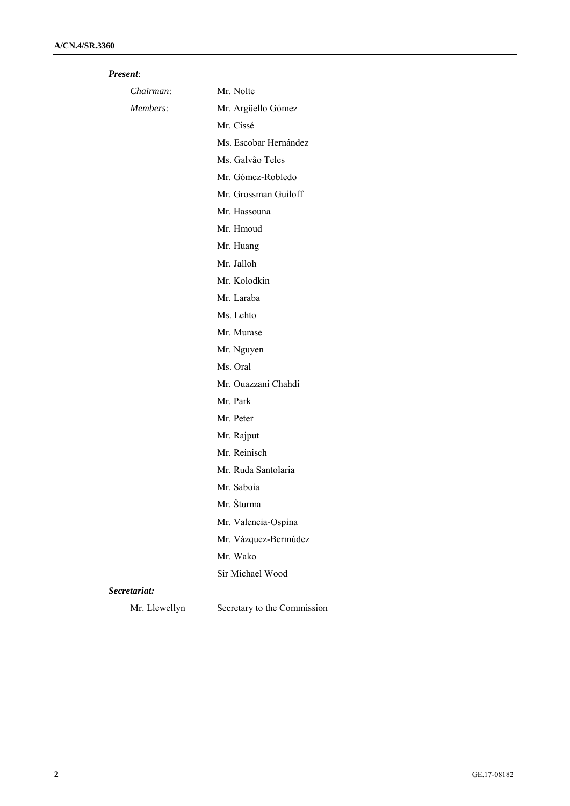### *Present*:

| Chairman:     | Mr. Nolte                   |
|---------------|-----------------------------|
| Members:      | Mr. Argüello Gómez          |
|               | Mr. Cissé                   |
|               | Ms. Escobar Hernández       |
|               | Ms. Galvão Teles            |
|               | Mr. Gómez-Robledo           |
|               | Mr. Grossman Guiloff        |
|               | Mr. Hassouna                |
|               | Mr. Hmoud                   |
|               | Mr. Huang                   |
|               | Mr. Jalloh                  |
|               | Mr. Kolodkin                |
|               | Mr. Laraba                  |
|               | Ms. Lehto                   |
|               | Mr. Murase                  |
|               | Mr. Nguyen                  |
|               | Ms. Oral                    |
|               | Mr. Ouazzani Chahdi         |
|               | Mr. Park                    |
|               | Mr. Peter                   |
|               | Mr. Rajput                  |
|               | Mr. Reinisch                |
|               | Mr. Ruda Santolaria         |
|               | Mr. Saboia                  |
|               | Mr. Šturma                  |
|               | Mr. Valencia-Ospina         |
|               | Mr. Vázquez-Bermúdez        |
|               | Mr. Wako                    |
|               | Sir Michael Wood            |
| Secretariat:  |                             |
| Mr. Llewellyn | Secretary to the Commission |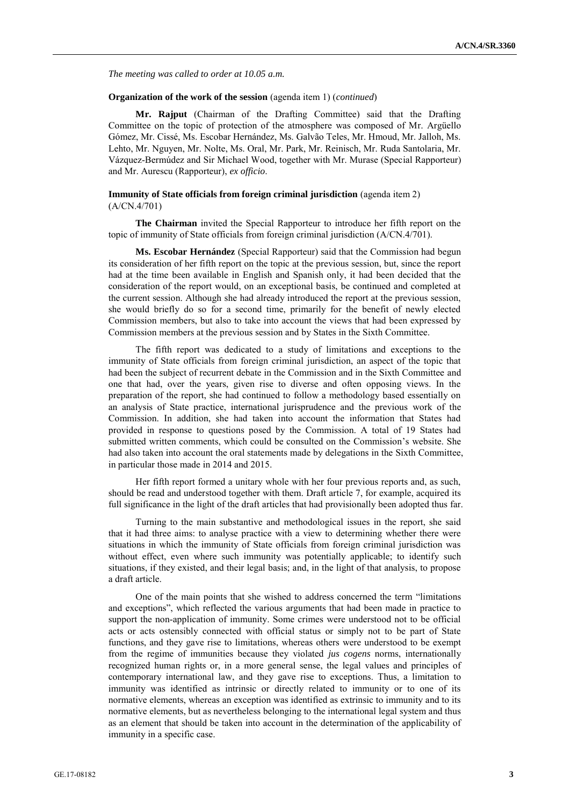*The meeting was called to order at 10.05 a.m.*

#### **Organization of the work of the session** (agenda item 1) (*continued*)

**Mr. Rajput** (Chairman of the Drafting Committee) said that the Drafting Committee on the topic of protection of the atmosphere was composed of Mr. Argüello Gómez, Mr. Cissé, Ms. Escobar Hernández, Ms. Galvão Teles, Mr. Hmoud, Mr. Jalloh, Ms. Lehto, Mr. Nguyen, Mr. Nolte, Ms. Oral, Mr. Park, Mr. Reinisch, Mr. Ruda Santolaria, Mr. Vázquez-Bermúdez and Sir Michael Wood, together with Mr. Murase (Special Rapporteur) and Mr. Aurescu (Rapporteur), *ex officio*.

#### **Immunity of State officials from foreign criminal jurisdiction** (agenda item 2) (A/CN.4/701)

**The Chairman** invited the Special Rapporteur to introduce her fifth report on the topic of immunity of State officials from foreign criminal jurisdiction (A/CN.4/701).

**Ms. Escobar Hernández** (Special Rapporteur) said that the Commission had begun its consideration of her fifth report on the topic at the previous session, but, since the report had at the time been available in English and Spanish only, it had been decided that the consideration of the report would, on an exceptional basis, be continued and completed at the current session. Although she had already introduced the report at the previous session, she would briefly do so for a second time, primarily for the benefit of newly elected Commission members, but also to take into account the views that had been expressed by Commission members at the previous session and by States in the Sixth Committee.

The fifth report was dedicated to a study of limitations and exceptions to the immunity of State officials from foreign criminal jurisdiction, an aspect of the topic that had been the subject of recurrent debate in the Commission and in the Sixth Committee and one that had, over the years, given rise to diverse and often opposing views. In the preparation of the report, she had continued to follow a methodology based essentially on an analysis of State practice, international jurisprudence and the previous work of the Commission. In addition, she had taken into account the information that States had provided in response to questions posed by the Commission. A total of 19 States had submitted written comments, which could be consulted on the Commission's website. She had also taken into account the oral statements made by delegations in the Sixth Committee, in particular those made in 2014 and 2015.

Her fifth report formed a unitary whole with her four previous reports and, as such, should be read and understood together with them. Draft article 7, for example, acquired its full significance in the light of the draft articles that had provisionally been adopted thus far.

Turning to the main substantive and methodological issues in the report, she said that it had three aims: to analyse practice with a view to determining whether there were situations in which the immunity of State officials from foreign criminal jurisdiction was without effect, even where such immunity was potentially applicable; to identify such situations, if they existed, and their legal basis; and, in the light of that analysis, to propose a draft article.

One of the main points that she wished to address concerned the term "limitations and exceptions", which reflected the various arguments that had been made in practice to support the non-application of immunity. Some crimes were understood not to be official acts or acts ostensibly connected with official status or simply not to be part of State functions, and they gave rise to limitations, whereas others were understood to be exempt from the regime of immunities because they violated *jus cogens* norms, internationally recognized human rights or, in a more general sense, the legal values and principles of contemporary international law, and they gave rise to exceptions. Thus, a limitation to immunity was identified as intrinsic or directly related to immunity or to one of its normative elements, whereas an exception was identified as extrinsic to immunity and to its normative elements, but as nevertheless belonging to the international legal system and thus as an element that should be taken into account in the determination of the applicability of immunity in a specific case.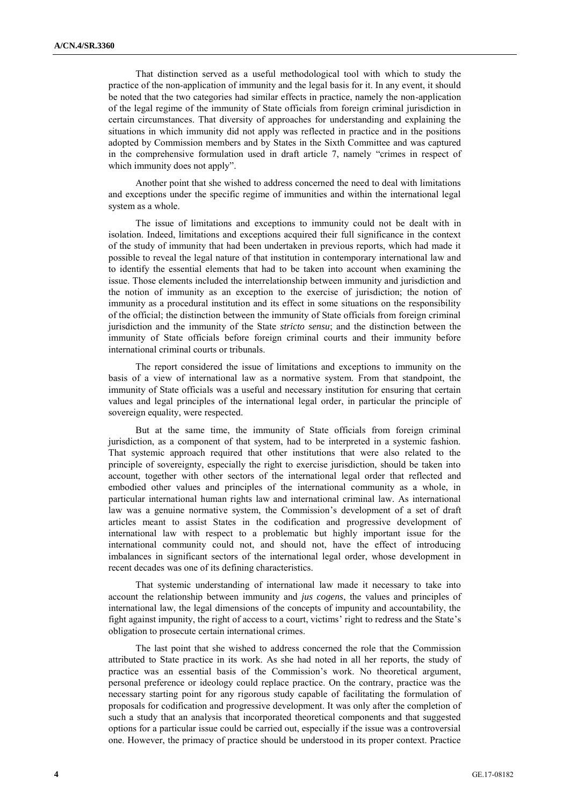That distinction served as a useful methodological tool with which to study the practice of the non-application of immunity and the legal basis for it. In any event, it should be noted that the two categories had similar effects in practice, namely the non-application of the legal regime of the immunity of State officials from foreign criminal jurisdiction in certain circumstances. That diversity of approaches for understanding and explaining the situations in which immunity did not apply was reflected in practice and in the positions adopted by Commission members and by States in the Sixth Committee and was captured in the comprehensive formulation used in draft article 7, namely "crimes in respect of which immunity does not apply".

Another point that she wished to address concerned the need to deal with limitations and exceptions under the specific regime of immunities and within the international legal system as a whole.

The issue of limitations and exceptions to immunity could not be dealt with in isolation. Indeed, limitations and exceptions acquired their full significance in the context of the study of immunity that had been undertaken in previous reports, which had made it possible to reveal the legal nature of that institution in contemporary international law and to identify the essential elements that had to be taken into account when examining the issue. Those elements included the interrelationship between immunity and jurisdiction and the notion of immunity as an exception to the exercise of jurisdiction; the notion of immunity as a procedural institution and its effect in some situations on the responsibility of the official; the distinction between the immunity of State officials from foreign criminal jurisdiction and the immunity of the State *stricto sensu*; and the distinction between the immunity of State officials before foreign criminal courts and their immunity before international criminal courts or tribunals.

The report considered the issue of limitations and exceptions to immunity on the basis of a view of international law as a normative system. From that standpoint, the immunity of State officials was a useful and necessary institution for ensuring that certain values and legal principles of the international legal order, in particular the principle of sovereign equality, were respected.

But at the same time, the immunity of State officials from foreign criminal jurisdiction, as a component of that system, had to be interpreted in a systemic fashion. That systemic approach required that other institutions that were also related to the principle of sovereignty, especially the right to exercise jurisdiction, should be taken into account, together with other sectors of the international legal order that reflected and embodied other values and principles of the international community as a whole, in particular international human rights law and international criminal law. As international law was a genuine normative system, the Commission's development of a set of draft articles meant to assist States in the codification and progressive development of international law with respect to a problematic but highly important issue for the international community could not, and should not, have the effect of introducing imbalances in significant sectors of the international legal order, whose development in recent decades was one of its defining characteristics.

That systemic understanding of international law made it necessary to take into account the relationship between immunity and *jus cogens*, the values and principles of international law, the legal dimensions of the concepts of impunity and accountability, the fight against impunity, the right of access to a court, victims' right to redress and the State's obligation to prosecute certain international crimes.

The last point that she wished to address concerned the role that the Commission attributed to State practice in its work. As she had noted in all her reports, the study of practice was an essential basis of the Commission's work. No theoretical argument, personal preference or ideology could replace practice. On the contrary, practice was the necessary starting point for any rigorous study capable of facilitating the formulation of proposals for codification and progressive development. It was only after the completion of such a study that an analysis that incorporated theoretical components and that suggested options for a particular issue could be carried out, especially if the issue was a controversial one. However, the primacy of practice should be understood in its proper context. Practice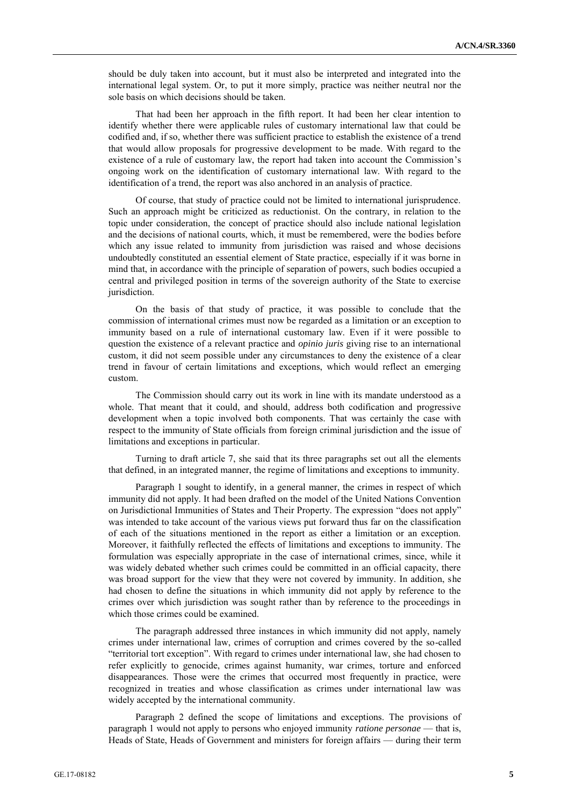should be duly taken into account, but it must also be interpreted and integrated into the international legal system. Or, to put it more simply, practice was neither neutral nor the sole basis on which decisions should be taken.

That had been her approach in the fifth report. It had been her clear intention to identify whether there were applicable rules of customary international law that could be codified and, if so, whether there was sufficient practice to establish the existence of a trend that would allow proposals for progressive development to be made. With regard to the existence of a rule of customary law, the report had taken into account the Commission's ongoing work on the identification of customary international law. With regard to the identification of a trend, the report was also anchored in an analysis of practice.

Of course, that study of practice could not be limited to international jurisprudence. Such an approach might be criticized as reductionist. On the contrary, in relation to the topic under consideration, the concept of practice should also include national legislation and the decisions of national courts, which, it must be remembered, were the bodies before which any issue related to immunity from jurisdiction was raised and whose decisions undoubtedly constituted an essential element of State practice, especially if it was borne in mind that, in accordance with the principle of separation of powers, such bodies occupied a central and privileged position in terms of the sovereign authority of the State to exercise jurisdiction.

On the basis of that study of practice, it was possible to conclude that the commission of international crimes must now be regarded as a limitation or an exception to immunity based on a rule of international customary law. Even if it were possible to question the existence of a relevant practice and *opinio juris* giving rise to an international custom, it did not seem possible under any circumstances to deny the existence of a clear trend in favour of certain limitations and exceptions, which would reflect an emerging custom.

The Commission should carry out its work in line with its mandate understood as a whole. That meant that it could, and should, address both codification and progressive development when a topic involved both components. That was certainly the case with respect to the immunity of State officials from foreign criminal jurisdiction and the issue of limitations and exceptions in particular.

Turning to draft article 7, she said that its three paragraphs set out all the elements that defined, in an integrated manner, the regime of limitations and exceptions to immunity.

Paragraph 1 sought to identify, in a general manner, the crimes in respect of which immunity did not apply. It had been drafted on the model of the United Nations Convention on Jurisdictional Immunities of States and Their Property. The expression "does not apply" was intended to take account of the various views put forward thus far on the classification of each of the situations mentioned in the report as either a limitation or an exception. Moreover, it faithfully reflected the effects of limitations and exceptions to immunity. The formulation was especially appropriate in the case of international crimes, since, while it was widely debated whether such crimes could be committed in an official capacity, there was broad support for the view that they were not covered by immunity. In addition, she had chosen to define the situations in which immunity did not apply by reference to the crimes over which jurisdiction was sought rather than by reference to the proceedings in which those crimes could be examined.

The paragraph addressed three instances in which immunity did not apply, namely crimes under international law, crimes of corruption and crimes covered by the so-called "territorial tort exception". With regard to crimes under international law, she had chosen to refer explicitly to genocide, crimes against humanity, war crimes, torture and enforced disappearances. Those were the crimes that occurred most frequently in practice, were recognized in treaties and whose classification as crimes under international law was widely accepted by the international community.

Paragraph 2 defined the scope of limitations and exceptions. The provisions of paragraph 1 would not apply to persons who enjoyed immunity *ratione personae* — that is, Heads of State, Heads of Government and ministers for foreign affairs — during their term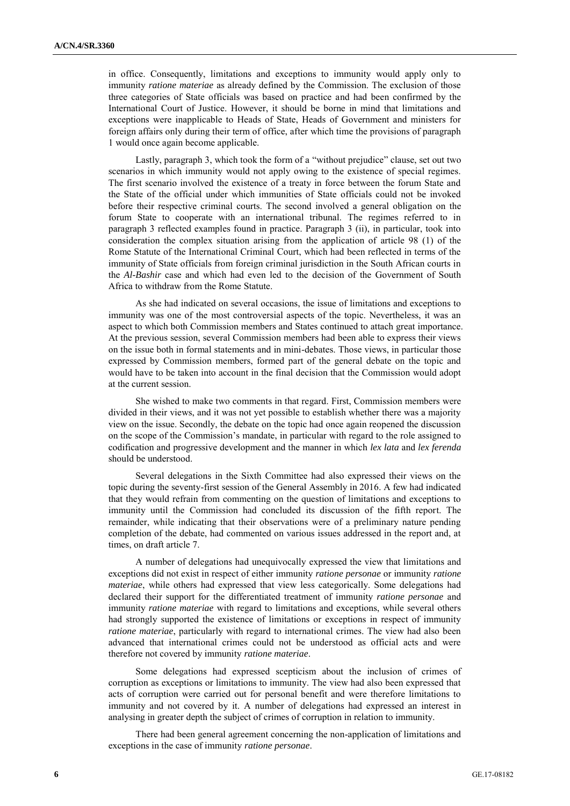in office. Consequently, limitations and exceptions to immunity would apply only to immunity *ratione materiae* as already defined by the Commission. The exclusion of those three categories of State officials was based on practice and had been confirmed by the International Court of Justice. However, it should be borne in mind that limitations and exceptions were inapplicable to Heads of State, Heads of Government and ministers for foreign affairs only during their term of office, after which time the provisions of paragraph 1 would once again become applicable.

Lastly, paragraph 3, which took the form of a "without prejudice" clause, set out two scenarios in which immunity would not apply owing to the existence of special regimes. The first scenario involved the existence of a treaty in force between the forum State and the State of the official under which immunities of State officials could not be invoked before their respective criminal courts. The second involved a general obligation on the forum State to cooperate with an international tribunal. The regimes referred to in paragraph 3 reflected examples found in practice. Paragraph 3 (ii), in particular, took into consideration the complex situation arising from the application of article 98 (1) of the Rome Statute of the International Criminal Court, which had been reflected in terms of the immunity of State officials from foreign criminal jurisdiction in the South African courts in the *Al-Bashir* case and which had even led to the decision of the Government of South Africa to withdraw from the Rome Statute.

As she had indicated on several occasions, the issue of limitations and exceptions to immunity was one of the most controversial aspects of the topic. Nevertheless, it was an aspect to which both Commission members and States continued to attach great importance. At the previous session, several Commission members had been able to express their views on the issue both in formal statements and in mini-debates. Those views, in particular those expressed by Commission members, formed part of the general debate on the topic and would have to be taken into account in the final decision that the Commission would adopt at the current session.

She wished to make two comments in that regard. First, Commission members were divided in their views, and it was not yet possible to establish whether there was a majority view on the issue. Secondly, the debate on the topic had once again reopened the discussion on the scope of the Commission's mandate, in particular with regard to the role assigned to codification and progressive development and the manner in which *lex lata* and *lex ferenda* should be understood.

Several delegations in the Sixth Committee had also expressed their views on the topic during the seventy-first session of the General Assembly in 2016. A few had indicated that they would refrain from commenting on the question of limitations and exceptions to immunity until the Commission had concluded its discussion of the fifth report. The remainder, while indicating that their observations were of a preliminary nature pending completion of the debate, had commented on various issues addressed in the report and, at times, on draft article 7.

A number of delegations had unequivocally expressed the view that limitations and exceptions did not exist in respect of either immunity *ratione personae* or immunity *ratione materiae*, while others had expressed that view less categorically. Some delegations had declared their support for the differentiated treatment of immunity *ratione personae* and immunity *ratione materiae* with regard to limitations and exceptions, while several others had strongly supported the existence of limitations or exceptions in respect of immunity *ratione materiae*, particularly with regard to international crimes. The view had also been advanced that international crimes could not be understood as official acts and were therefore not covered by immunity *ratione materiae*.

Some delegations had expressed scepticism about the inclusion of crimes of corruption as exceptions or limitations to immunity. The view had also been expressed that acts of corruption were carried out for personal benefit and were therefore limitations to immunity and not covered by it. A number of delegations had expressed an interest in analysing in greater depth the subject of crimes of corruption in relation to immunity.

There had been general agreement concerning the non-application of limitations and exceptions in the case of immunity *ratione personae*.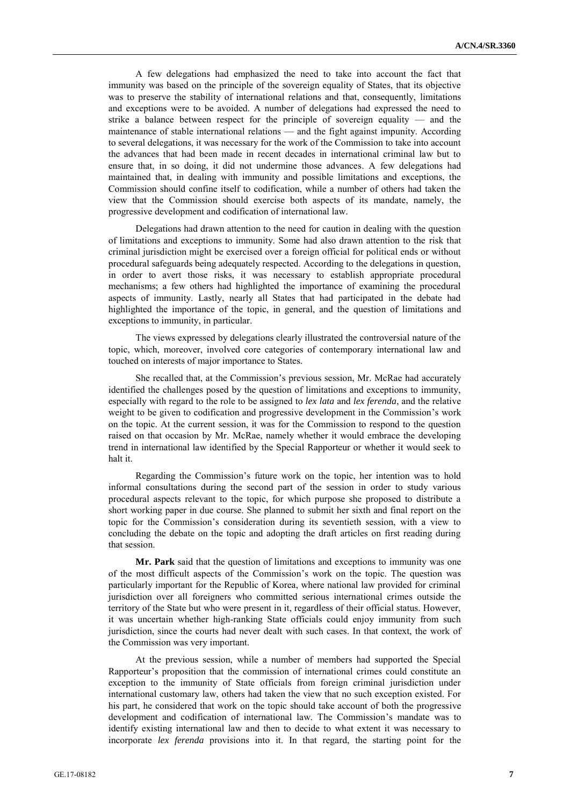A few delegations had emphasized the need to take into account the fact that immunity was based on the principle of the sovereign equality of States, that its objective was to preserve the stability of international relations and that, consequently, limitations and exceptions were to be avoided. A number of delegations had expressed the need to strike a balance between respect for the principle of sovereign equality — and the maintenance of stable international relations — and the fight against impunity. According to several delegations, it was necessary for the work of the Commission to take into account the advances that had been made in recent decades in international criminal law but to ensure that, in so doing, it did not undermine those advances. A few delegations had maintained that, in dealing with immunity and possible limitations and exceptions, the Commission should confine itself to codification, while a number of others had taken the view that the Commission should exercise both aspects of its mandate, namely, the progressive development and codification of international law.

Delegations had drawn attention to the need for caution in dealing with the question of limitations and exceptions to immunity. Some had also drawn attention to the risk that criminal jurisdiction might be exercised over a foreign official for political ends or without procedural safeguards being adequately respected. According to the delegations in question, in order to avert those risks, it was necessary to establish appropriate procedural mechanisms; a few others had highlighted the importance of examining the procedural aspects of immunity. Lastly, nearly all States that had participated in the debate had highlighted the importance of the topic, in general, and the question of limitations and exceptions to immunity, in particular.

The views expressed by delegations clearly illustrated the controversial nature of the topic, which, moreover, involved core categories of contemporary international law and touched on interests of major importance to States.

She recalled that, at the Commission's previous session, Mr. McRae had accurately identified the challenges posed by the question of limitations and exceptions to immunity, especially with regard to the role to be assigned to *lex lata* and *lex ferenda*, and the relative weight to be given to codification and progressive development in the Commission's work on the topic. At the current session, it was for the Commission to respond to the question raised on that occasion by Mr. McRae, namely whether it would embrace the developing trend in international law identified by the Special Rapporteur or whether it would seek to halt it.

Regarding the Commission's future work on the topic, her intention was to hold informal consultations during the second part of the session in order to study various procedural aspects relevant to the topic, for which purpose she proposed to distribute a short working paper in due course. She planned to submit her sixth and final report on the topic for the Commission's consideration during its seventieth session, with a view to concluding the debate on the topic and adopting the draft articles on first reading during that session.

**Mr. Park** said that the question of limitations and exceptions to immunity was one of the most difficult aspects of the Commission's work on the topic. The question was particularly important for the Republic of Korea, where national law provided for criminal jurisdiction over all foreigners who committed serious international crimes outside the territory of the State but who were present in it, regardless of their official status. However, it was uncertain whether high-ranking State officials could enjoy immunity from such jurisdiction, since the courts had never dealt with such cases. In that context, the work of the Commission was very important.

At the previous session, while a number of members had supported the Special Rapporteur's proposition that the commission of international crimes could constitute an exception to the immunity of State officials from foreign criminal jurisdiction under international customary law, others had taken the view that no such exception existed. For his part, he considered that work on the topic should take account of both the progressive development and codification of international law. The Commission's mandate was to identify existing international law and then to decide to what extent it was necessary to incorporate *lex ferenda* provisions into it. In that regard, the starting point for the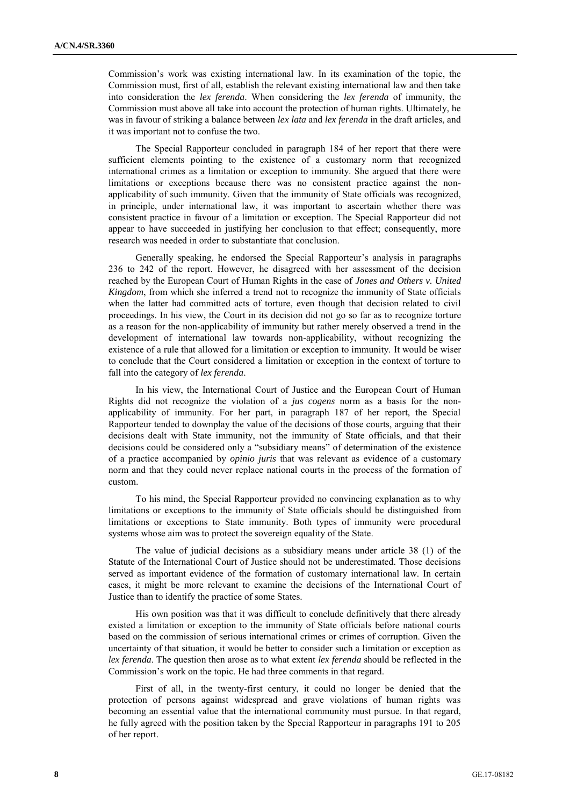Commission's work was existing international law. In its examination of the topic, the Commission must, first of all, establish the relevant existing international law and then take into consideration the *lex ferenda*. When considering the *lex ferenda* of immunity, the Commission must above all take into account the protection of human rights. Ultimately, he was in favour of striking a balance between *lex lata* and *lex ferenda* in the draft articles, and it was important not to confuse the two.

The Special Rapporteur concluded in paragraph 184 of her report that there were sufficient elements pointing to the existence of a customary norm that recognized international crimes as a limitation or exception to immunity. She argued that there were limitations or exceptions because there was no consistent practice against the nonapplicability of such immunity. Given that the immunity of State officials was recognized, in principle, under international law, it was important to ascertain whether there was consistent practice in favour of a limitation or exception. The Special Rapporteur did not appear to have succeeded in justifying her conclusion to that effect; consequently, more research was needed in order to substantiate that conclusion.

Generally speaking, he endorsed the Special Rapporteur's analysis in paragraphs 236 to 242 of the report. However, he disagreed with her assessment of the decision reached by the European Court of Human Rights in the case of *Jones and Others v. United Kingdom*, from which she inferred a trend not to recognize the immunity of State officials when the latter had committed acts of torture, even though that decision related to civil proceedings. In his view, the Court in its decision did not go so far as to recognize torture as a reason for the non-applicability of immunity but rather merely observed a trend in the development of international law towards non-applicability, without recognizing the existence of a rule that allowed for a limitation or exception to immunity. It would be wiser to conclude that the Court considered a limitation or exception in the context of torture to fall into the category of *lex ferenda*.

In his view, the International Court of Justice and the European Court of Human Rights did not recognize the violation of a *jus cogens* norm as a basis for the nonapplicability of immunity. For her part, in paragraph 187 of her report, the Special Rapporteur tended to downplay the value of the decisions of those courts, arguing that their decisions dealt with State immunity, not the immunity of State officials, and that their decisions could be considered only a "subsidiary means" of determination of the existence of a practice accompanied by *opinio juris* that was relevant as evidence of a customary norm and that they could never replace national courts in the process of the formation of custom.

To his mind, the Special Rapporteur provided no convincing explanation as to why limitations or exceptions to the immunity of State officials should be distinguished from limitations or exceptions to State immunity. Both types of immunity were procedural systems whose aim was to protect the sovereign equality of the State.

The value of judicial decisions as a subsidiary means under article 38 (1) of the Statute of the International Court of Justice should not be underestimated. Those decisions served as important evidence of the formation of customary international law. In certain cases, it might be more relevant to examine the decisions of the International Court of Justice than to identify the practice of some States.

His own position was that it was difficult to conclude definitively that there already existed a limitation or exception to the immunity of State officials before national courts based on the commission of serious international crimes or crimes of corruption. Given the uncertainty of that situation, it would be better to consider such a limitation or exception as *lex ferenda*. The question then arose as to what extent *lex ferenda* should be reflected in the Commission's work on the topic. He had three comments in that regard.

First of all, in the twenty-first century, it could no longer be denied that the protection of persons against widespread and grave violations of human rights was becoming an essential value that the international community must pursue. In that regard, he fully agreed with the position taken by the Special Rapporteur in paragraphs 191 to 205 of her report.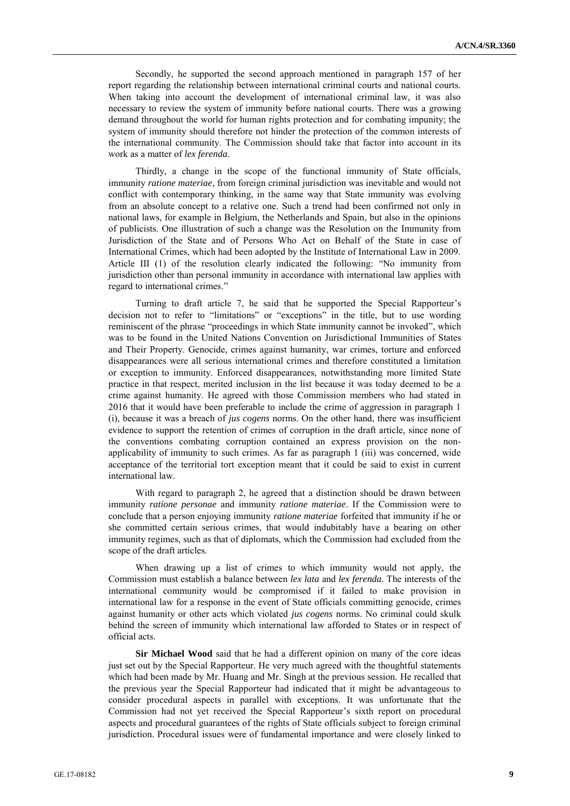Secondly, he supported the second approach mentioned in paragraph 157 of her report regarding the relationship between international criminal courts and national courts. When taking into account the development of international criminal law, it was also necessary to review the system of immunity before national courts. There was a growing demand throughout the world for human rights protection and for combating impunity; the system of immunity should therefore not hinder the protection of the common interests of the international community. The Commission should take that factor into account in its work as a matter of *lex ferenda*.

Thirdly, a change in the scope of the functional immunity of State officials, immunity *ratione materiae*, from foreign criminal jurisdiction was inevitable and would not conflict with contemporary thinking, in the same way that State immunity was evolving from an absolute concept to a relative one. Such a trend had been confirmed not only in national laws, for example in Belgium, the Netherlands and Spain, but also in the opinions of publicists. One illustration of such a change was the Resolution on the Immunity from Jurisdiction of the State and of Persons Who Act on Behalf of the State in case of International Crimes, which had been adopted by the Institute of International Law in 2009. Article III (1) of the resolution clearly indicated the following: "No immunity from jurisdiction other than personal immunity in accordance with international law applies with regard to international crimes."

Turning to draft article 7, he said that he supported the Special Rapporteur's decision not to refer to "limitations" or "exceptions" in the title, but to use wording reminiscent of the phrase "proceedings in which State immunity cannot be invoked", which was to be found in the United Nations Convention on Jurisdictional Immunities of States and Their Property. Genocide, crimes against humanity, war crimes, torture and enforced disappearances were all serious international crimes and therefore constituted a limitation or exception to immunity. Enforced disappearances, notwithstanding more limited State practice in that respect, merited inclusion in the list because it was today deemed to be a crime against humanity. He agreed with those Commission members who had stated in 2016 that it would have been preferable to include the crime of aggression in paragraph 1 (i), because it was a breach of *jus cogens* norms. On the other hand, there was insufficient evidence to support the retention of crimes of corruption in the draft article, since none of the conventions combating corruption contained an express provision on the nonapplicability of immunity to such crimes. As far as paragraph 1 (iii) was concerned, wide acceptance of the territorial tort exception meant that it could be said to exist in current international law.

With regard to paragraph 2, he agreed that a distinction should be drawn between immunity *ratione personae* and immunity *ratione materiae*. If the Commission were to conclude that a person enjoying immunity *ratione materiae* forfeited that immunity if he or she committed certain serious crimes, that would indubitably have a bearing on other immunity regimes, such as that of diplomats, which the Commission had excluded from the scope of the draft articles.

When drawing up a list of crimes to which immunity would not apply, the Commission must establish a balance between *lex lata* and *lex ferenda*. The interests of the international community would be compromised if it failed to make provision in international law for a response in the event of State officials committing genocide, crimes against humanity or other acts which violated *jus cogens* norms. No criminal could skulk behind the screen of immunity which international law afforded to States or in respect of official acts.

**Sir Michael Wood** said that he had a different opinion on many of the core ideas just set out by the Special Rapporteur. He very much agreed with the thoughtful statements which had been made by Mr. Huang and Mr. Singh at the previous session. He recalled that the previous year the Special Rapporteur had indicated that it might be advantageous to consider procedural aspects in parallel with exceptions. It was unfortunate that the Commission had not yet received the Special Rapporteur's sixth report on procedural aspects and procedural guarantees of the rights of State officials subject to foreign criminal jurisdiction. Procedural issues were of fundamental importance and were closely linked to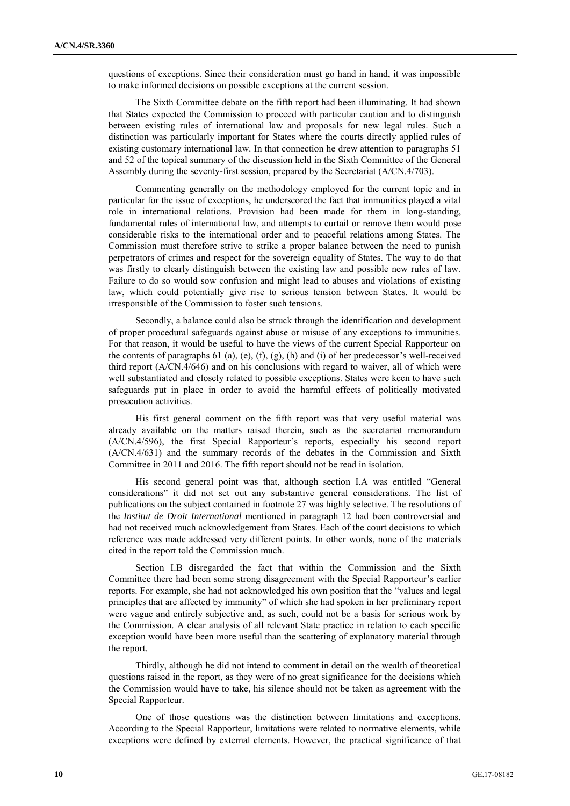questions of exceptions. Since their consideration must go hand in hand, it was impossible to make informed decisions on possible exceptions at the current session.

The Sixth Committee debate on the fifth report had been illuminating. It had shown that States expected the Commission to proceed with particular caution and to distinguish between existing rules of international law and proposals for new legal rules. Such a distinction was particularly important for States where the courts directly applied rules of existing customary international law. In that connection he drew attention to paragraphs 51 and 52 of the topical summary of the discussion held in the Sixth Committee of the General Assembly during the seventy-first session, prepared by the Secretariat (A/CN.4/703).

Commenting generally on the methodology employed for the current topic and in particular for the issue of exceptions, he underscored the fact that immunities played a vital role in international relations. Provision had been made for them in long-standing, fundamental rules of international law, and attempts to curtail or remove them would pose considerable risks to the international order and to peaceful relations among States. The Commission must therefore strive to strike a proper balance between the need to punish perpetrators of crimes and respect for the sovereign equality of States. The way to do that was firstly to clearly distinguish between the existing law and possible new rules of law. Failure to do so would sow confusion and might lead to abuses and violations of existing law, which could potentially give rise to serious tension between States. It would be irresponsible of the Commission to foster such tensions.

Secondly, a balance could also be struck through the identification and development of proper procedural safeguards against abuse or misuse of any exceptions to immunities. For that reason, it would be useful to have the views of the current Special Rapporteur on the contents of paragraphs 61 (a), (e), (f), (g), (h) and (i) of her predecessor's well-received third report (A/CN.4/646) and on his conclusions with regard to waiver, all of which were well substantiated and closely related to possible exceptions. States were keen to have such safeguards put in place in order to avoid the harmful effects of politically motivated prosecution activities.

His first general comment on the fifth report was that very useful material was already available on the matters raised therein, such as the secretariat memorandum (A/CN.4/596), the first Special Rapporteur's reports, especially his second report (A/CN.4/631) and the summary records of the debates in the Commission and Sixth Committee in 2011 and 2016. The fifth report should not be read in isolation.

His second general point was that, although section I.A was entitled "General considerations" it did not set out any substantive general considerations. The list of publications on the subject contained in footnote 27 was highly selective. The resolutions of the *Institut de Droit International* mentioned in paragraph 12 had been controversial and had not received much acknowledgement from States. Each of the court decisions to which reference was made addressed very different points. In other words, none of the materials cited in the report told the Commission much.

Section I.B disregarded the fact that within the Commission and the Sixth Committee there had been some strong disagreement with the Special Rapporteur's earlier reports. For example, she had not acknowledged his own position that the "values and legal principles that are affected by immunity" of which she had spoken in her preliminary report were vague and entirely subjective and, as such, could not be a basis for serious work by the Commission. A clear analysis of all relevant State practice in relation to each specific exception would have been more useful than the scattering of explanatory material through the report.

Thirdly, although he did not intend to comment in detail on the wealth of theoretical questions raised in the report, as they were of no great significance for the decisions which the Commission would have to take, his silence should not be taken as agreement with the Special Rapporteur.

One of those questions was the distinction between limitations and exceptions. According to the Special Rapporteur, limitations were related to normative elements, while exceptions were defined by external elements. However, the practical significance of that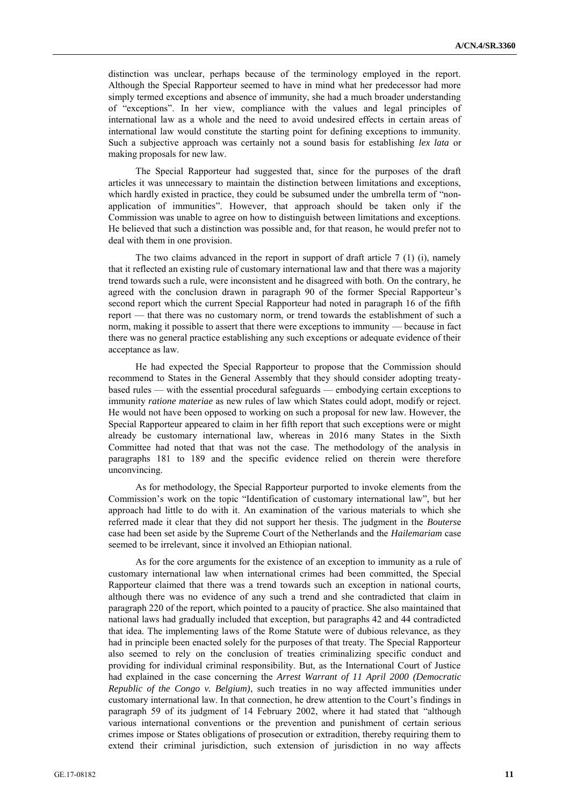distinction was unclear, perhaps because of the terminology employed in the report. Although the Special Rapporteur seemed to have in mind what her predecessor had more simply termed exceptions and absence of immunity, she had a much broader understanding of "exceptions". In her view, compliance with the values and legal principles of international law as a whole and the need to avoid undesired effects in certain areas of international law would constitute the starting point for defining exceptions to immunity. Such a subjective approach was certainly not a sound basis for establishing *lex lata* or making proposals for new law.

The Special Rapporteur had suggested that, since for the purposes of the draft articles it was unnecessary to maintain the distinction between limitations and exceptions, which hardly existed in practice, they could be subsumed under the umbrella term of "nonapplication of immunities". However, that approach should be taken only if the Commission was unable to agree on how to distinguish between limitations and exceptions. He believed that such a distinction was possible and, for that reason, he would prefer not to deal with them in one provision.

The two claims advanced in the report in support of draft article 7 (1) (i), namely that it reflected an existing rule of customary international law and that there was a majority trend towards such a rule, were inconsistent and he disagreed with both. On the contrary, he agreed with the conclusion drawn in paragraph 90 of the former Special Rapporteur's second report which the current Special Rapporteur had noted in paragraph 16 of the fifth report — that there was no customary norm, or trend towards the establishment of such a norm, making it possible to assert that there were exceptions to immunity — because in fact there was no general practice establishing any such exceptions or adequate evidence of their acceptance as law.

He had expected the Special Rapporteur to propose that the Commission should recommend to States in the General Assembly that they should consider adopting treatybased rules — with the essential procedural safeguards — embodying certain exceptions to immunity *ratione materiae* as new rules of law which States could adopt, modify or reject. He would not have been opposed to working on such a proposal for new law. However, the Special Rapporteur appeared to claim in her fifth report that such exceptions were or might already be customary international law, whereas in 2016 many States in the Sixth Committee had noted that that was not the case. The methodology of the analysis in paragraphs 181 to 189 and the specific evidence relied on therein were therefore unconvincing.

As for methodology, the Special Rapporteur purported to invoke elements from the Commission's work on the topic "Identification of customary international law", but her approach had little to do with it. An examination of the various materials to which she referred made it clear that they did not support her thesis. The judgment in the *Bouters*e case had been set aside by the Supreme Court of the Netherlands and the *Hailemariam* case seemed to be irrelevant, since it involved an Ethiopian national.

As for the core arguments for the existence of an exception to immunity as a rule of customary international law when international crimes had been committed, the Special Rapporteur claimed that there was a trend towards such an exception in national courts, although there was no evidence of any such a trend and she contradicted that claim in paragraph 220 of the report, which pointed to a paucity of practice. She also maintained that national laws had gradually included that exception, but paragraphs 42 and 44 contradicted that idea. The implementing laws of the Rome Statute were of dubious relevance, as they had in principle been enacted solely for the purposes of that treaty. The Special Rapporteur also seemed to rely on the conclusion of treaties criminalizing specific conduct and providing for individual criminal responsibility. But, as the International Court of Justice had explained in the case concerning the *Arrest Warrant of 11 April 2000 (Democratic Republic of the Congo v. Belgium)*, such treaties in no way affected immunities under customary international law. In that connection, he drew attention to the Court's findings in paragraph 59 of its judgment of 14 February 2002, where it had stated that "although various international conventions or the prevention and punishment of certain serious crimes impose or States obligations of prosecution or extradition, thereby requiring them to extend their criminal jurisdiction, such extension of jurisdiction in no way affects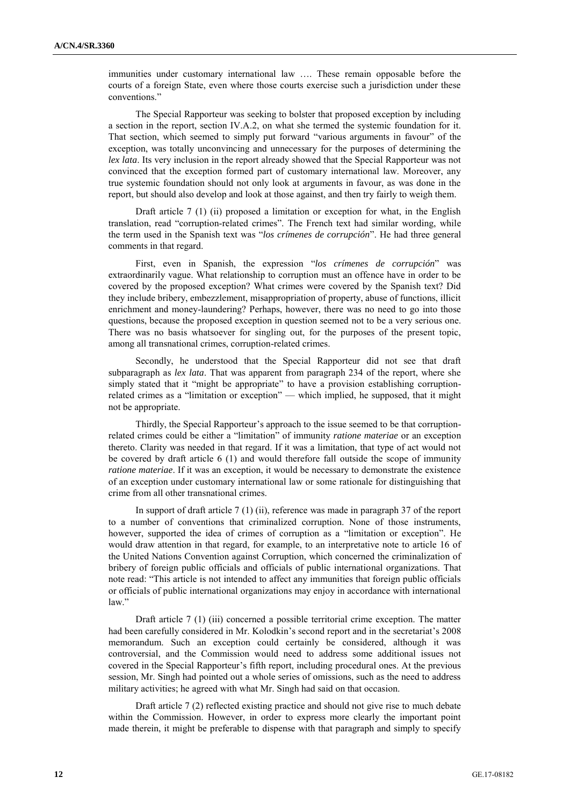immunities under customary international law …. These remain opposable before the courts of a foreign State, even where those courts exercise such a jurisdiction under these conventions."

The Special Rapporteur was seeking to bolster that proposed exception by including a section in the report, section IV.A.2, on what she termed the systemic foundation for it. That section, which seemed to simply put forward "various arguments in favour" of the exception, was totally unconvincing and unnecessary for the purposes of determining the *lex lata*. Its very inclusion in the report already showed that the Special Rapporteur was not convinced that the exception formed part of customary international law. Moreover, any true systemic foundation should not only look at arguments in favour, as was done in the report, but should also develop and look at those against, and then try fairly to weigh them.

Draft article 7 (1) (ii) proposed a limitation or exception for what, in the English translation, read "corruption-related crimes". The French text had similar wording, while the term used in the Spanish text was "*los crímenes de corrupción*". He had three general comments in that regard.

First, even in Spanish, the expression "*los crímenes de corrupción*" was extraordinarily vague. What relationship to corruption must an offence have in order to be covered by the proposed exception? What crimes were covered by the Spanish text? Did they include bribery, embezzlement, misappropriation of property, abuse of functions, illicit enrichment and money-laundering? Perhaps, however, there was no need to go into those questions, because the proposed exception in question seemed not to be a very serious one. There was no basis whatsoever for singling out, for the purposes of the present topic, among all transnational crimes, corruption-related crimes.

Secondly, he understood that the Special Rapporteur did not see that draft subparagraph as *lex lata*. That was apparent from paragraph 234 of the report, where she simply stated that it "might be appropriate" to have a provision establishing corruptionrelated crimes as a "limitation or exception" — which implied, he supposed, that it might not be appropriate.

Thirdly, the Special Rapporteur's approach to the issue seemed to be that corruptionrelated crimes could be either a "limitation" of immunity *ratione materiae* or an exception thereto. Clarity was needed in that regard. If it was a limitation, that type of act would not be covered by draft article 6 (1) and would therefore fall outside the scope of immunity *ratione materiae*. If it was an exception, it would be necessary to demonstrate the existence of an exception under customary international law or some rationale for distinguishing that crime from all other transnational crimes.

In support of draft article 7 (1) (ii), reference was made in paragraph 37 of the report to a number of conventions that criminalized corruption. None of those instruments, however, supported the idea of crimes of corruption as a "limitation or exception". He would draw attention in that regard, for example, to an interpretative note to article 16 of the United Nations Convention against Corruption, which concerned the criminalization of bribery of foreign public officials and officials of public international organizations. That note read: "This article is not intended to affect any immunities that foreign public officials or officials of public international organizations may enjoy in accordance with international law."

Draft article 7 (1) (iii) concerned a possible territorial crime exception. The matter had been carefully considered in Mr. Kolodkin's second report and in the secretariat's 2008 memorandum. Such an exception could certainly be considered, although it was controversial, and the Commission would need to address some additional issues not covered in the Special Rapporteur's fifth report, including procedural ones. At the previous session, Mr. Singh had pointed out a whole series of omissions, such as the need to address military activities; he agreed with what Mr. Singh had said on that occasion.

Draft article 7 (2) reflected existing practice and should not give rise to much debate within the Commission. However, in order to express more clearly the important point made therein, it might be preferable to dispense with that paragraph and simply to specify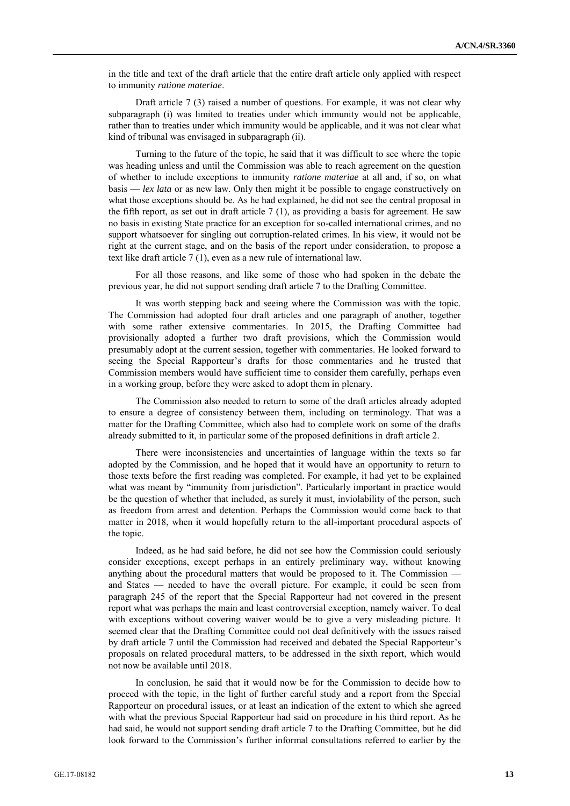in the title and text of the draft article that the entire draft article only applied with respect to immunity *ratione materiae*.

Draft article 7 (3) raised a number of questions. For example, it was not clear why subparagraph (i) was limited to treaties under which immunity would not be applicable, rather than to treaties under which immunity would be applicable, and it was not clear what kind of tribunal was envisaged in subparagraph (ii).

Turning to the future of the topic, he said that it was difficult to see where the topic was heading unless and until the Commission was able to reach agreement on the question of whether to include exceptions to immunity *ratione materiae* at all and, if so, on what basis — *lex lata* or as new law. Only then might it be possible to engage constructively on what those exceptions should be. As he had explained, he did not see the central proposal in the fifth report, as set out in draft article  $7(1)$ , as providing a basis for agreement. He saw no basis in existing State practice for an exception for so-called international crimes, and no support whatsoever for singling out corruption-related crimes. In his view, it would not be right at the current stage, and on the basis of the report under consideration, to propose a text like draft article 7 (1), even as a new rule of international law.

For all those reasons, and like some of those who had spoken in the debate the previous year, he did not support sending draft article 7 to the Drafting Committee.

It was worth stepping back and seeing where the Commission was with the topic. The Commission had adopted four draft articles and one paragraph of another, together with some rather extensive commentaries. In 2015, the Drafting Committee had provisionally adopted a further two draft provisions, which the Commission would presumably adopt at the current session, together with commentaries. He looked forward to seeing the Special Rapporteur's drafts for those commentaries and he trusted that Commission members would have sufficient time to consider them carefully, perhaps even in a working group, before they were asked to adopt them in plenary.

The Commission also needed to return to some of the draft articles already adopted to ensure a degree of consistency between them, including on terminology. That was a matter for the Drafting Committee, which also had to complete work on some of the drafts already submitted to it, in particular some of the proposed definitions in draft article 2.

There were inconsistencies and uncertainties of language within the texts so far adopted by the Commission, and he hoped that it would have an opportunity to return to those texts before the first reading was completed. For example, it had yet to be explained what was meant by "immunity from jurisdiction". Particularly important in practice would be the question of whether that included, as surely it must, inviolability of the person, such as freedom from arrest and detention. Perhaps the Commission would come back to that matter in 2018, when it would hopefully return to the all-important procedural aspects of the topic.

Indeed, as he had said before, he did not see how the Commission could seriously consider exceptions, except perhaps in an entirely preliminary way, without knowing anything about the procedural matters that would be proposed to it. The Commission and States — needed to have the overall picture. For example, it could be seen from paragraph 245 of the report that the Special Rapporteur had not covered in the present report what was perhaps the main and least controversial exception, namely waiver. To deal with exceptions without covering waiver would be to give a very misleading picture. It seemed clear that the Drafting Committee could not deal definitively with the issues raised by draft article 7 until the Commission had received and debated the Special Rapporteur's proposals on related procedural matters, to be addressed in the sixth report, which would not now be available until 2018.

In conclusion, he said that it would now be for the Commission to decide how to proceed with the topic, in the light of further careful study and a report from the Special Rapporteur on procedural issues, or at least an indication of the extent to which she agreed with what the previous Special Rapporteur had said on procedure in his third report. As he had said, he would not support sending draft article 7 to the Drafting Committee, but he did look forward to the Commission's further informal consultations referred to earlier by the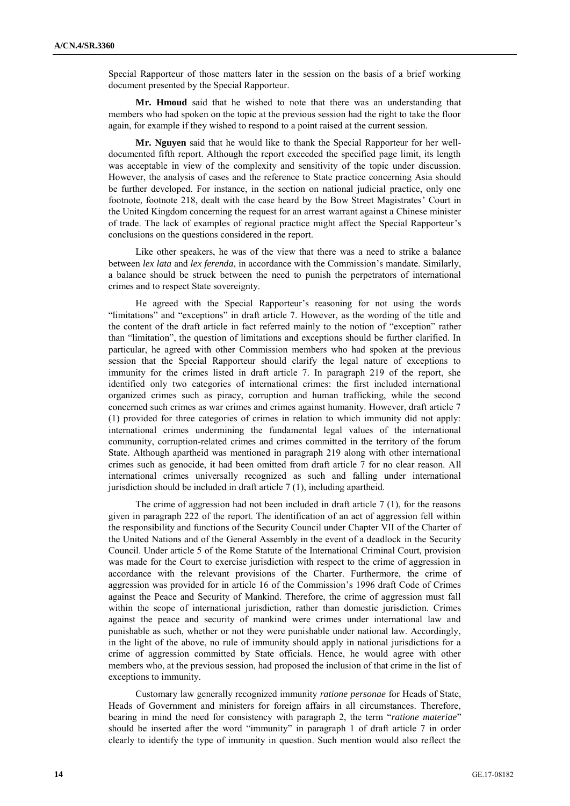Special Rapporteur of those matters later in the session on the basis of a brief working document presented by the Special Rapporteur.

**Mr. Hmoud** said that he wished to note that there was an understanding that members who had spoken on the topic at the previous session had the right to take the floor again, for example if they wished to respond to a point raised at the current session.

**Mr. Nguyen** said that he would like to thank the Special Rapporteur for her welldocumented fifth report. Although the report exceeded the specified page limit, its length was acceptable in view of the complexity and sensitivity of the topic under discussion. However, the analysis of cases and the reference to State practice concerning Asia should be further developed. For instance, in the section on national judicial practice, only one footnote, footnote 218, dealt with the case heard by the Bow Street Magistrates' Court in the United Kingdom concerning the request for an arrest warrant against a Chinese minister of trade. The lack of examples of regional practice might affect the Special Rapporteur's conclusions on the questions considered in the report.

Like other speakers, he was of the view that there was a need to strike a balance between *lex lata* and *lex ferenda*, in accordance with the Commission's mandate. Similarly, a balance should be struck between the need to punish the perpetrators of international crimes and to respect State sovereignty.

He agreed with the Special Rapporteur's reasoning for not using the words "limitations" and "exceptions" in draft article 7. However, as the wording of the title and the content of the draft article in fact referred mainly to the notion of "exception" rather than "limitation", the question of limitations and exceptions should be further clarified. In particular, he agreed with other Commission members who had spoken at the previous session that the Special Rapporteur should clarify the legal nature of exceptions to immunity for the crimes listed in draft article 7. In paragraph 219 of the report, she identified only two categories of international crimes: the first included international organized crimes such as piracy, corruption and human trafficking, while the second concerned such crimes as war crimes and crimes against humanity. However, draft article 7 (1) provided for three categories of crimes in relation to which immunity did not apply: international crimes undermining the fundamental legal values of the international community, corruption-related crimes and crimes committed in the territory of the forum State. Although apartheid was mentioned in paragraph 219 along with other international crimes such as genocide, it had been omitted from draft article 7 for no clear reason. All international crimes universally recognized as such and falling under international jurisdiction should be included in draft article 7 (1), including apartheid.

The crime of aggression had not been included in draft article 7 (1), for the reasons given in paragraph 222 of the report. The identification of an act of aggression fell within the responsibility and functions of the Security Council under Chapter VII of the Charter of the United Nations and of the General Assembly in the event of a deadlock in the Security Council. Under article 5 of the Rome Statute of the International Criminal Court, provision was made for the Court to exercise jurisdiction with respect to the crime of aggression in accordance with the relevant provisions of the Charter. Furthermore, the crime of aggression was provided for in article 16 of the Commission's 1996 draft Code of Crimes against the Peace and Security of Mankind. Therefore, the crime of aggression must fall within the scope of international jurisdiction, rather than domestic jurisdiction. Crimes against the peace and security of mankind were crimes under international law and punishable as such, whether or not they were punishable under national law. Accordingly, in the light of the above, no rule of immunity should apply in national jurisdictions for a crime of aggression committed by State officials. Hence, he would agree with other members who, at the previous session, had proposed the inclusion of that crime in the list of exceptions to immunity.

Customary law generally recognized immunity *ratione personae* for Heads of State, Heads of Government and ministers for foreign affairs in all circumstances. Therefore, bearing in mind the need for consistency with paragraph 2, the term "*ratione materiae*" should be inserted after the word "immunity" in paragraph 1 of draft article 7 in order clearly to identify the type of immunity in question. Such mention would also reflect the